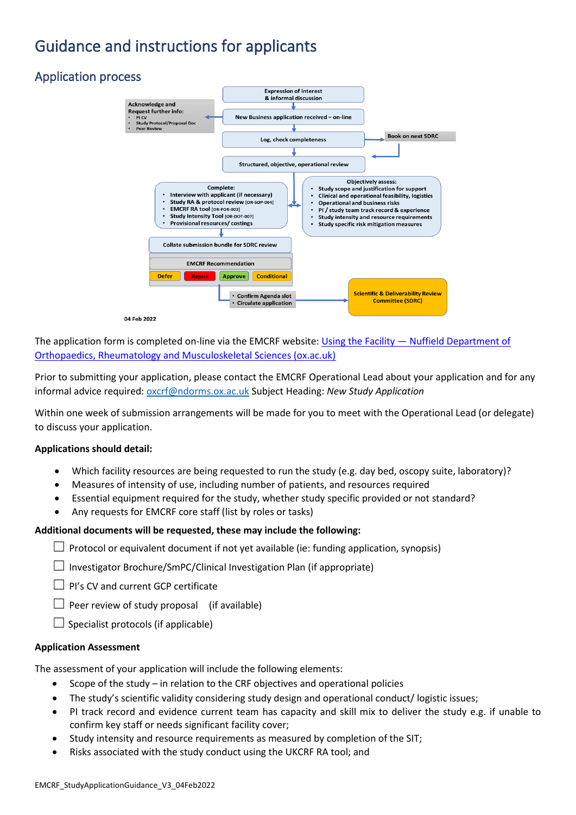# Guidance and instructions for applicants

## Application process





The application form is completed on-line via the EMCRF website: Using the Facility — [Nuffield Department of](https://www.ndorms.ox.ac.uk/oxford-emcrf/using-the-facility)  [Orthopaedics, Rheumatology and Musculoskeletal Sciences \(ox.ac.uk\)](https://www.ndorms.ox.ac.uk/oxford-emcrf/using-the-facility)

Prior to submitting your application, please contact the EMCRF Operational Lead about your application and for any informal advice required: [oxcrf@ndorms.ox.ac.uk](mailto:oxcrf@ndorms.ox.ac.uk) Subject Heading: *New Study Application*

Within one week of submission arrangements will be made for you to meet with the Operational Lead (or delegate) to discuss your application.

#### **Applications should detail:**

- Which facility resources are being requested to run the study (e.g. day bed, oscopy suite, laboratory)?
- Measures of intensity of use, including number of patients, and resources required
- Essential equipment required for the study, whether study specific provided or not standard?
- Any requests for EMCRF core staff (list by roles or tasks)

#### **Additional documents will be requested, these may include the following:**

 $\Box$  Protocol or equivalent document if not yet available (ie: funding application, synopsis)

 $\Box$  Investigator Brochure/SmPC/Clinical Investigation Plan (if appropriate)

☐ PI's CV and current GCP certificate

 $\Box$  Peer review of study proposal (if available)

 $\Box$  Specialist protocols (if applicable)

#### **Application Assessment**

The assessment of your application will include the following elements:

- Scope of the study in relation to the CRF objectives and operational policies
- The study's scientific validity considering study design and operational conduct/ logistic issues;
- PI track record and evidence current team has capacity and skill mix to deliver the study e.g. if unable to confirm key staff or needs significant facility cover;
- Study intensity and resource requirements as measured by completion of the SIT;
- Risks associated with the study conduct using the UKCRF RA tool; and